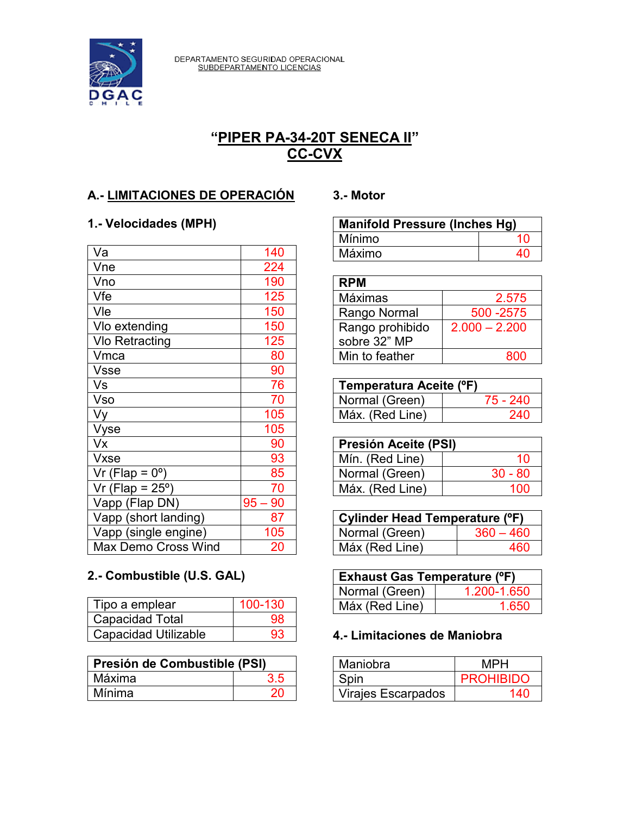

DEPARTAMENTO SEGURIDAD OPERACIONAL<br>SUBDEPARTAMENTO LICENCIAS

# **"PIPER PA-34-20T SENECA II" CC-CVX**

## **A.- LIMITACIONES DE OPERACIÓN**

### **1.- Velocidades (MPH)**

| Va                          | 140       |
|-----------------------------|-----------|
| Vne                         | 224       |
| Vno                         | 190       |
| Vfe                         | 125       |
| Vle                         | 150       |
| Vlo extending               | 150       |
| Vlo Retracting              | 125       |
| Vmca                        | 80        |
| <b>Vsse</b>                 | 90        |
| Vs                          | 76        |
| Vso                         | 70        |
| Vy                          | 105       |
| Vyse                        | 105       |
| Vx                          | 90        |
| Vxse                        | 93        |
| Vr (Flap = $0^\circ$ )      | 85        |
| $Vr$ (Flap = 25 $\degree$ ) | 70        |
| Vapp (Flap DN)              | $95 - 90$ |
| Vapp (short landing)        | 87        |
| Vapp (single engine)        | 105       |
| <b>Max Demo Cross Wind</b>  | 20        |

# **2.- Combustible (U.S. GAL)**

| Tipo a emplear              | 100-130 |
|-----------------------------|---------|
| <b>Capacidad Total</b>      | 98      |
| <b>Capacidad Utilizable</b> | 93      |

| Presión de Combustible (PSI) |     |
|------------------------------|-----|
| Máxima                       | 3.5 |
| Mínima                       | 20  |

#### **3.- Motor**

| <b>Manifold Pressure (Inches Hg)</b> |    |
|--------------------------------------|----|
| Mínimo                               | 10 |
| Máximo                               | 40 |

| <b>RPM</b>      |                 |
|-----------------|-----------------|
| Máximas         | 2.575           |
| Rango Normal    | 500 - 2575      |
| Rango prohibido | $2.000 - 2.200$ |
| sobre 32" MP    |                 |
| Min to feather  | ദററ             |

| Temperatura Aceite (°F) |          |
|-------------------------|----------|
| Normal (Green)          | 75 - 240 |
| Máx. (Red Line)         | 240      |

| Presión Aceite (PSI) |           |
|----------------------|-----------|
| Mín. (Red Line)      | 10        |
| Normal (Green)       | $30 - 80$ |
| Máx. (Red Line)      | 100       |

| Cylinder Head Temperature (°F) |             |
|--------------------------------|-------------|
| Normal (Green)                 | $360 - 460$ |
| Máx (Red Line)                 | 460         |

| <b>Exhaust Gas Temperature (°F)</b> |             |
|-------------------------------------|-------------|
| Normal (Green)                      | 1.200-1.650 |
| Máx (Red Line)                      | 1 650       |

### **4.- Limitaciones de Maniobra**

| Maniobra                  | MPH              |
|---------------------------|------------------|
| Spin                      | <b>PROHIBIDO</b> |
| <b>Virajes Escarpados</b> | 140              |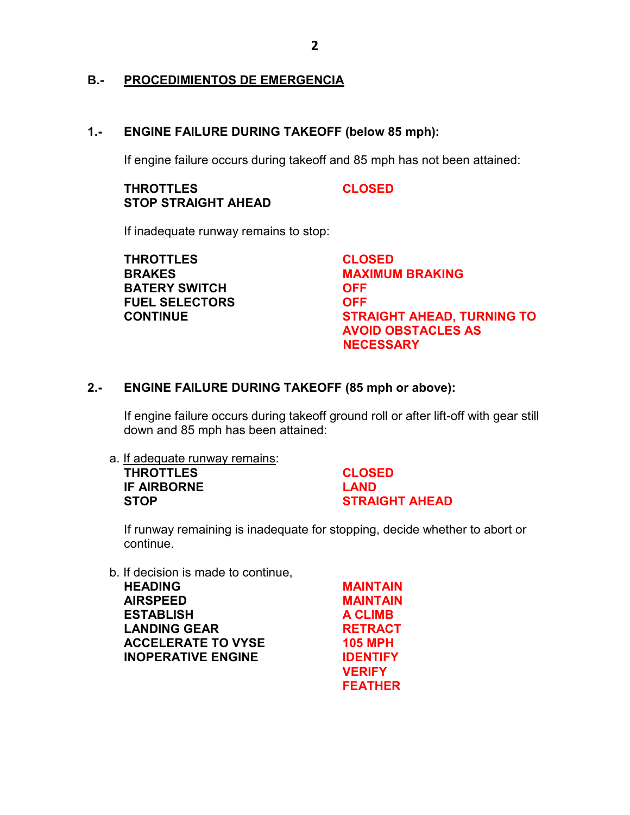#### **B.- PROCEDIMIENTOS DE EMERGENCIA**

#### **1.- ENGINE FAILURE DURING TAKEOFF (below 85 mph):**

If engine failure occurs during takeoff and 85 mph has not been attained:

#### **THROTTLES CLOSED STOP STRAIGHT AHEAD**

If inadequate runway remains to stop:

**THROTTLES CLOSED BATERY SWITCH OFF FUEL SELECTORS OFF**

**BRAKES MAXIMUM BRAKING CONTINUE STRAIGHT AHEAD, TURNING TO AVOID OBSTACLES AS NECESSARY**

#### **2.- ENGINE FAILURE DURING TAKEOFF (85 mph or above):**

If engine failure occurs during takeoff ground roll or after lift-off with gear still down and 85 mph has been attained:

a. If adequate runway remains: **THROTTLES CLOSED IF AIRBORNE LAND STOP STRAIGHT AHEAD** 

If runway remaining is inadequate for stopping, decide whether to abort or continue.

b. If decision is made to continue,

**HEADING MAINTAIN AIRSPEED MAINTAIN ESTABLISH A CLIMB** LANDING GEAR **RETRACT ACCELERATE TO VYSE 105 MPH INOPERATIVE ENGINE IDENTIFY** 

**VERIFY FEATHER**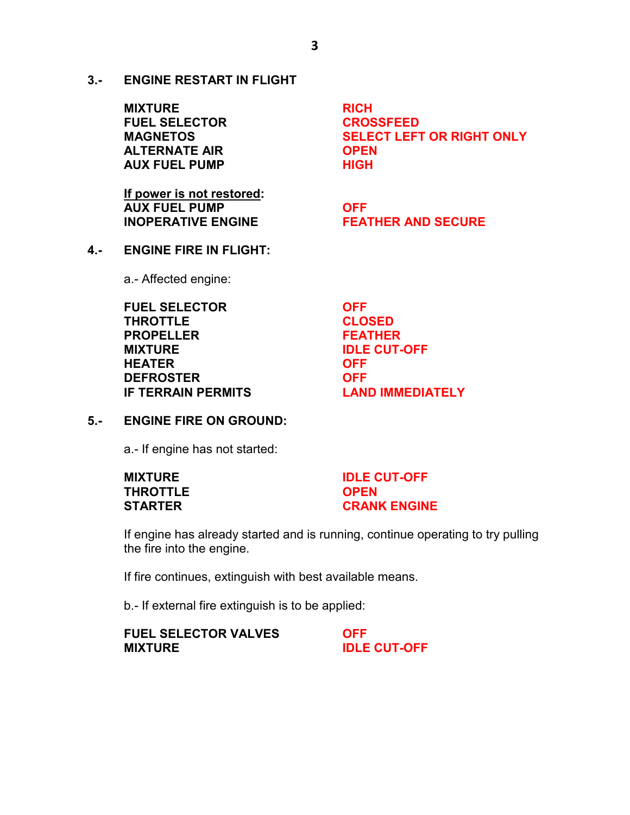**3.- ENGINE RESTART IN FLIGHT**

**MIXTURE RICH FUEL SELECTOR CROSSFEED ALTERNATE AIR OPEN AUX FUEL PUMP HIGH** 

**MAGNETOS SELECT LEFT OR RIGHT ONLY**

**If power is not restored: AUX FUEL PUMP COFF INOPERATIVE ENGINE FEATHER AND SECURE**

**4.- ENGINE FIRE IN FLIGHT:** a.- Affected engine:

> **FUEL SELECTOR OFF THROTTLE CLOSED PROPELLER FEATHER MIXTURE IDLE CUT-OFF HEATER OFF DEFROSTER OFF IF TERRAIN PERMITS LAND IMMEDIATELY**

#### **5.- ENGINE FIRE ON GROUND:**

a.- If engine has not started:

| <b>MIXTURE</b> | <b>IDLE CUT-OFF</b> |
|----------------|---------------------|
| THROTTLE       | <b>OPEN</b>         |
| STARTER        | <b>CRANK ENGINE</b> |

If engine has already started and is running, continue operating to try pulling the fire into the engine.

If fire continues, extinguish with best available means.

b.- If external fire extinguish is to be applied:

| <b>FUEL SELECTOR VALVES</b> | <b>OFF</b>          |
|-----------------------------|---------------------|
| <b>MIXTURE</b>              | <b>IDLE CUT-OFF</b> |